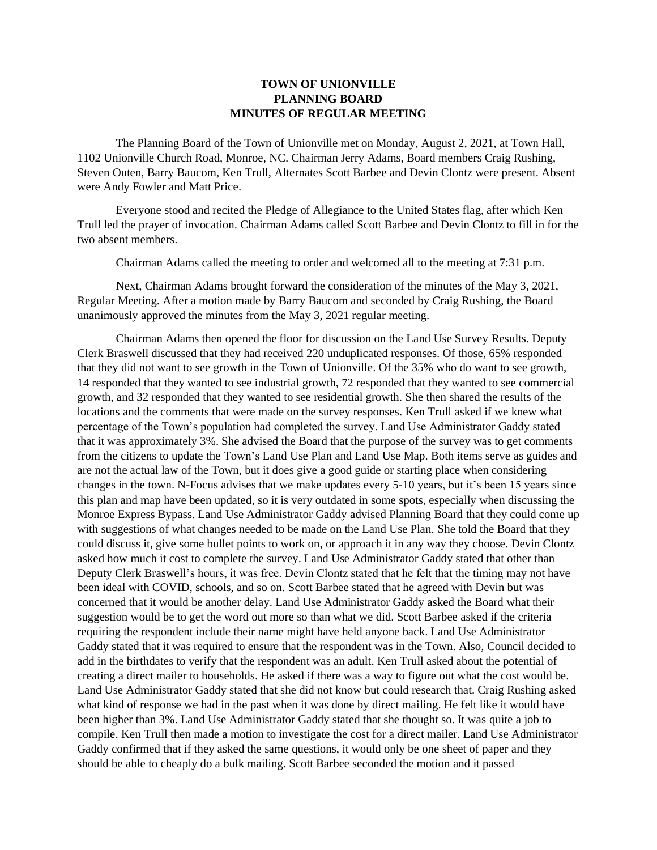## **TOWN OF UNIONVILLE PLANNING BOARD MINUTES OF REGULAR MEETING**

The Planning Board of the Town of Unionville met on Monday, August 2, 2021, at Town Hall, 1102 Unionville Church Road, Monroe, NC. Chairman Jerry Adams, Board members Craig Rushing, Steven Outen, Barry Baucom, Ken Trull, Alternates Scott Barbee and Devin Clontz were present. Absent were Andy Fowler and Matt Price.

Everyone stood and recited the Pledge of Allegiance to the United States flag, after which Ken Trull led the prayer of invocation. Chairman Adams called Scott Barbee and Devin Clontz to fill in for the two absent members.

Chairman Adams called the meeting to order and welcomed all to the meeting at 7:31 p.m.

Next, Chairman Adams brought forward the consideration of the minutes of the May 3, 2021, Regular Meeting. After a motion made by Barry Baucom and seconded by Craig Rushing, the Board unanimously approved the minutes from the May 3, 2021 regular meeting.

Chairman Adams then opened the floor for discussion on the Land Use Survey Results. Deputy Clerk Braswell discussed that they had received 220 unduplicated responses. Of those, 65% responded that they did not want to see growth in the Town of Unionville. Of the 35% who do want to see growth, 14 responded that they wanted to see industrial growth, 72 responded that they wanted to see commercial growth, and 32 responded that they wanted to see residential growth. She then shared the results of the locations and the comments that were made on the survey responses. Ken Trull asked if we knew what percentage of the Town's population had completed the survey. Land Use Administrator Gaddy stated that it was approximately 3%. She advised the Board that the purpose of the survey was to get comments from the citizens to update the Town's Land Use Plan and Land Use Map. Both items serve as guides and are not the actual law of the Town, but it does give a good guide or starting place when considering changes in the town. N-Focus advises that we make updates every 5-10 years, but it's been 15 years since this plan and map have been updated, so it is very outdated in some spots, especially when discussing the Monroe Express Bypass. Land Use Administrator Gaddy advised Planning Board that they could come up with suggestions of what changes needed to be made on the Land Use Plan. She told the Board that they could discuss it, give some bullet points to work on, or approach it in any way they choose. Devin Clontz asked how much it cost to complete the survey. Land Use Administrator Gaddy stated that other than Deputy Clerk Braswell's hours, it was free. Devin Clontz stated that he felt that the timing may not have been ideal with COVID, schools, and so on. Scott Barbee stated that he agreed with Devin but was concerned that it would be another delay. Land Use Administrator Gaddy asked the Board what their suggestion would be to get the word out more so than what we did. Scott Barbee asked if the criteria requiring the respondent include their name might have held anyone back. Land Use Administrator Gaddy stated that it was required to ensure that the respondent was in the Town. Also, Council decided to add in the birthdates to verify that the respondent was an adult. Ken Trull asked about the potential of creating a direct mailer to households. He asked if there was a way to figure out what the cost would be. Land Use Administrator Gaddy stated that she did not know but could research that. Craig Rushing asked what kind of response we had in the past when it was done by direct mailing. He felt like it would have been higher than 3%. Land Use Administrator Gaddy stated that she thought so. It was quite a job to compile. Ken Trull then made a motion to investigate the cost for a direct mailer. Land Use Administrator Gaddy confirmed that if they asked the same questions, it would only be one sheet of paper and they should be able to cheaply do a bulk mailing. Scott Barbee seconded the motion and it passed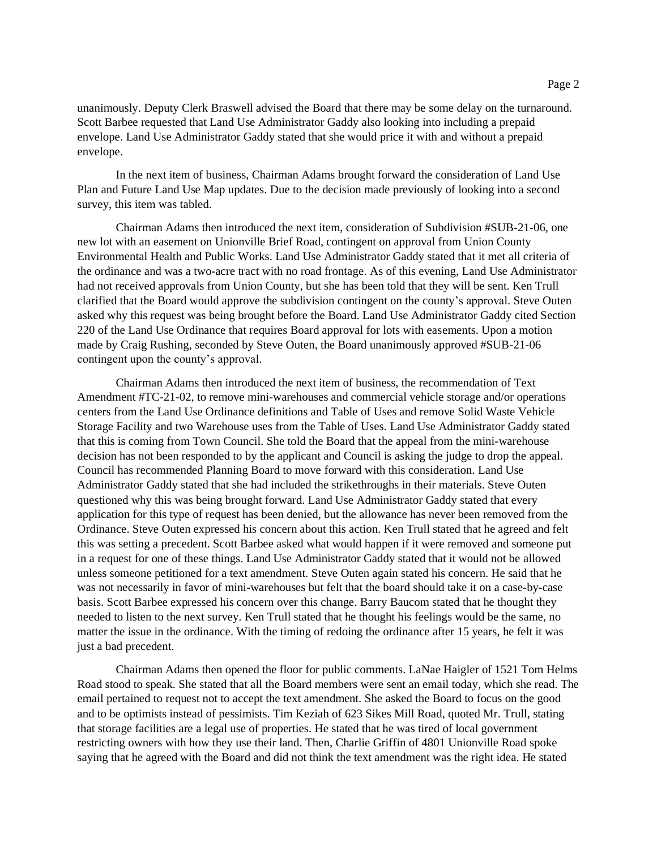unanimously. Deputy Clerk Braswell advised the Board that there may be some delay on the turnaround. Scott Barbee requested that Land Use Administrator Gaddy also looking into including a prepaid envelope. Land Use Administrator Gaddy stated that she would price it with and without a prepaid envelope.

In the next item of business, Chairman Adams brought forward the consideration of Land Use Plan and Future Land Use Map updates. Due to the decision made previously of looking into a second survey, this item was tabled.

Chairman Adams then introduced the next item, consideration of Subdivision #SUB-21-06, one new lot with an easement on Unionville Brief Road, contingent on approval from Union County Environmental Health and Public Works. Land Use Administrator Gaddy stated that it met all criteria of the ordinance and was a two-acre tract with no road frontage. As of this evening, Land Use Administrator had not received approvals from Union County, but she has been told that they will be sent. Ken Trull clarified that the Board would approve the subdivision contingent on the county's approval. Steve Outen asked why this request was being brought before the Board. Land Use Administrator Gaddy cited Section 220 of the Land Use Ordinance that requires Board approval for lots with easements. Upon a motion made by Craig Rushing, seconded by Steve Outen, the Board unanimously approved #SUB-21-06 contingent upon the county's approval.

Chairman Adams then introduced the next item of business, the recommendation of Text Amendment #TC-21-02, to remove mini-warehouses and commercial vehicle storage and/or operations centers from the Land Use Ordinance definitions and Table of Uses and remove Solid Waste Vehicle Storage Facility and two Warehouse uses from the Table of Uses. Land Use Administrator Gaddy stated that this is coming from Town Council. She told the Board that the appeal from the mini-warehouse decision has not been responded to by the applicant and Council is asking the judge to drop the appeal. Council has recommended Planning Board to move forward with this consideration. Land Use Administrator Gaddy stated that she had included the strikethroughs in their materials. Steve Outen questioned why this was being brought forward. Land Use Administrator Gaddy stated that every application for this type of request has been denied, but the allowance has never been removed from the Ordinance. Steve Outen expressed his concern about this action. Ken Trull stated that he agreed and felt this was setting a precedent. Scott Barbee asked what would happen if it were removed and someone put in a request for one of these things. Land Use Administrator Gaddy stated that it would not be allowed unless someone petitioned for a text amendment. Steve Outen again stated his concern. He said that he was not necessarily in favor of mini-warehouses but felt that the board should take it on a case-by-case basis. Scott Barbee expressed his concern over this change. Barry Baucom stated that he thought they needed to listen to the next survey. Ken Trull stated that he thought his feelings would be the same, no matter the issue in the ordinance. With the timing of redoing the ordinance after 15 years, he felt it was just a bad precedent.

Chairman Adams then opened the floor for public comments. LaNae Haigler of 1521 Tom Helms Road stood to speak. She stated that all the Board members were sent an email today, which she read. The email pertained to request not to accept the text amendment. She asked the Board to focus on the good and to be optimists instead of pessimists. Tim Keziah of 623 Sikes Mill Road, quoted Mr. Trull, stating that storage facilities are a legal use of properties. He stated that he was tired of local government restricting owners with how they use their land. Then, Charlie Griffin of 4801 Unionville Road spoke saying that he agreed with the Board and did not think the text amendment was the right idea. He stated